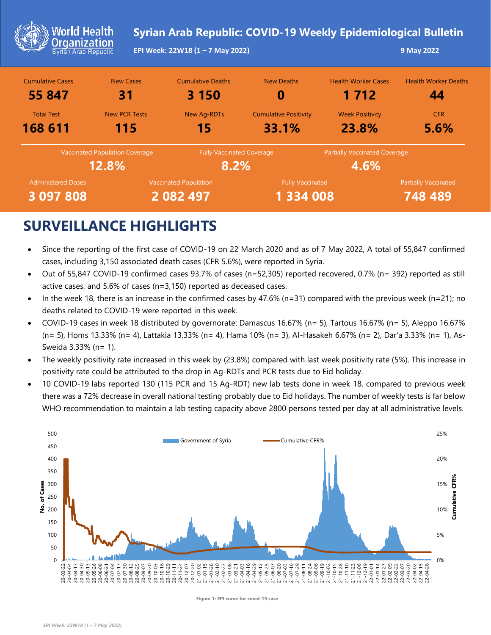| <b>World Health</b><br><b>Organization</b><br>Syrian Arab Republic |                                                | EPI Week: 22W18 (1 - 7 May 2022)          | Syrian Arab Republic: COVID-19 Weekly Epidemiological Bulletin |                                              | 9 May 2022                             |
|--------------------------------------------------------------------|------------------------------------------------|-------------------------------------------|----------------------------------------------------------------|----------------------------------------------|----------------------------------------|
| <b>Cumulative Cases</b><br>55 847                                  | <b>New Cases</b><br>31                         | <b>Cumulative Deaths</b><br>3 150         | <b>New Deaths</b><br>O                                         | <b>Health Worker Cases</b><br>1 7 1 2        | <b>Health Worker Deaths</b><br>44      |
| <b>Total Test</b><br>168 611                                       | <b>New PCR Tests</b><br>115                    | <b>New Ag-RDTs</b><br>15                  | <b>Cumulative Positivity</b><br>33.1%                          | <b>Week Positivity</b><br>23.8%              | <b>CFR</b><br>5.6%                     |
|                                                                    | <b>Vaccinated Population Coverage</b><br>12.8% | <b>Fully Vaccinated Coverage</b><br>8.2%  |                                                                | <b>Partially Vaccinated Coverage</b><br>4.6% |                                        |
| <b>Administered Doses</b><br>3 097 808                             |                                                | <b>Vaccinated Population</b><br>2 082 497 | <b>Fully Vaccinated</b><br>1 334 008                           |                                              | <b>Partially Vaccinated</b><br>748 489 |

## **SURVEILLANCE HIGHLIGHTS**

- Since the reporting of the first case of COVID-19 on 22 March 2020 and as of 7 May 2022, A total of 55,847 confirmed cases, including 3,150 associated death cases (CFR 5.6%), were reported in Syria.
- Out of 55,847 COVID-19 confirmed cases 93.7% of cases (n=52,305) reported recovered, 0.7% (n= 392) reported as still active cases, and 5.6% of cases (n=3,150) reported as deceased cases.
- In the week 18, there is an increase in the confirmed cases by 47.6% (n=31) compared with the previous week (n=21); no deaths related to COVID-19 were reported in this week.
- COVID-19 cases in week 18 distributed by governorate: Damascus 16.67% (n= 5), Tartous 16.67% (n= 5), Aleppo 16.67% (n= 5), Homs 13.33% (n= 4), Lattakia 13.33% (n= 4), Hama 10% (n= 3), Al-Hasakeh 6.67% (n= 2), Dar'a 3.33% (n= 1), As-Sweida 3.33% (n= 1).
- The weekly positivity rate increased in this week by (23.8%) compared with last week positivity rate (5%). This increase in positivity rate could be attributed to the drop in Ag-RDTs and PCR tests due to Eid holiday.
- 10 COVID-19 labs reported 130 (115 PCR and 15 Ag-RDT) new lab tests done in week 18, compared to previous week there was a 72% decrease in overall national testing probably due to Eid holidays. The number of weekly tests is far below WHO recommendation to maintain a lab testing capacity above 2800 persons tested per day at all administrative levels.



**Figure 1: EPI curve for covid-19 case**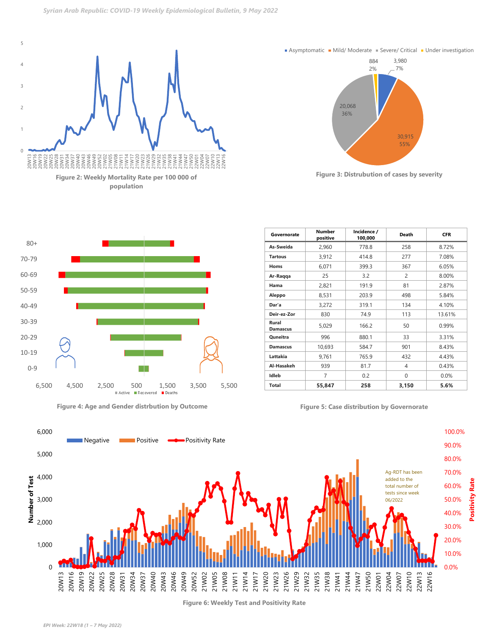



**Asymptomatic • Mild/ Moderate • Severe/ Critical • Under investigation** 

**Figure 3: Distrubution of cases by severity** 



**Figure 4: Age and Gender distrbution by Outcome Figure 5: Case distribution by Governorate**

| Governorate              | Number<br>positive | Incidence /<br>100,000 | <b>Death</b> | <b>CFR</b> |
|--------------------------|--------------------|------------------------|--------------|------------|
| As-Sweida                | 2,960              | 778.8                  | 258          | 8.72%      |
| <b>Tartous</b>           | 3,912              | 414.8                  | 277          | 7.08%      |
| Homs                     | 6,071              | 399.3                  | 367          | 6.05%      |
| Ar-Raqqa                 | 25                 | 3.2                    | 2            | 8.00%      |
| Hama                     | 2,821              | 191.9                  | 81           | 2.87%      |
| Aleppo                   | 8,531              | 203.9                  | 498          | 5.84%      |
| Dar'a                    | 3,272              | 319.1                  | 134          | 4.10%      |
| Deir-ez-Zor              | 830                | 74.9                   | 113          | 13.61%     |
| Rural<br><b>Damascus</b> | 5,029              | 166.2                  | 50           | 0.99%      |
| Quneitra                 | 996                | 880.1                  | 33           | 3.31%      |
| <b>Damascus</b>          | 10,693             | 584.7                  | 901          | 8.43%      |
| Lattakia                 | 9,761              | 765.9                  | 432          | 4.43%      |
| Al-Hasakeh               | 939                | 81.7                   | 4            | 0.43%      |
| Idleb                    | $\overline{7}$     | 0.2                    | 0            | $0.0\%$    |
| <b>Total</b>             | 55,847             | 258                    | 3,150        | 5.6%       |



**Figure 6: Weekly Test and Positivity Rate**